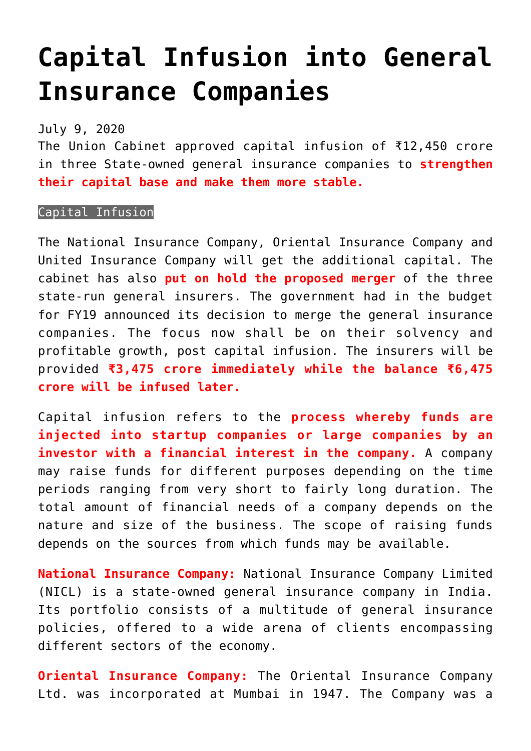## **[Capital Infusion into General](https://journalsofindia.com/capital-infusion-into-general-insurance-companies/) [Insurance Companies](https://journalsofindia.com/capital-infusion-into-general-insurance-companies/)**

July 9, 2020

The Union Cabinet approved capital infusion of ₹12,450 crore in three State-owned general insurance companies to **strengthen their capital base and make them more stable.**

## Capital Infusion

The National Insurance Company, Oriental Insurance Company and United Insurance Company will get the additional capital. The cabinet has also **put on hold the proposed merger** of the three state-run general insurers. The government had in the budget for FY19 announced its decision to merge the general insurance companies. The focus now shall be on their solvency and profitable growth, post capital infusion. The insurers will be provided **₹3,475 crore immediately while the balance ₹6,475 crore will be infused later.**

Capital infusion refers to the **process whereby funds are injected into startup companies or large companies by an investor with a financial interest in the company.** A company may raise funds for different purposes depending on the time periods ranging from very short to fairly long duration. The total amount of financial needs of a company depends on the nature and size of the business. The scope of raising funds depends on the sources from which funds may be available.

**National Insurance Company:** National Insurance Company Limited (NICL) is a state-owned general insurance company in India. Its portfolio consists of a multitude of general insurance policies, offered to a wide arena of clients encompassing different sectors of the economy.

**Oriental Insurance Company:** The Oriental Insurance Company Ltd. was incorporated at Mumbai in 1947. The Company was a